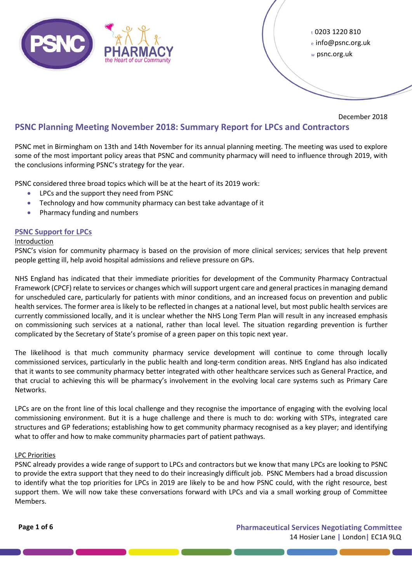

<sup>t</sup>0203 1220 810 <sup>e</sup>info@psnc.org.uk <sup>w</sup>psnc.org.uk

December 2018

# **PSNC Planning Meeting November 2018: Summary Report for LPCs and Contractors**

PSNC met in Birmingham on 13th and 14th November for its annual planning meeting. The meeting was used to explore some of the most important policy areas that PSNC and community pharmacy will need to influence through 2019, with the conclusions informing PSNC's strategy for the year.

PSNC considered three broad topics which will be at the heart of its 2019 work:

- LPCs and the support they need from PSNC
- Technology and how community pharmacy can best take advantage of it
- Pharmacy funding and numbers

# **PSNC Support for LPCs**

### Introduction

PSNC's vision for community pharmacy is based on the provision of more clinical services; services that help prevent people getting ill, help avoid hospital admissions and relieve pressure on GPs.

NHS England has indicated that their immediate priorities for development of the Community Pharmacy Contractual Framework (CPCF) relate to services or changes which will support urgent care and general practices in managing demand for unscheduled care, particularly for patients with minor conditions, and an increased focus on prevention and public health services. The former area is likely to be reflected in changes at a national level, but most public health services are currently commissioned locally, and it is unclear whether the NHS Long Term Plan will result in any increased emphasis on commissioning such services at a national, rather than local level. The situation regarding prevention is further complicated by the Secretary of State's promise of a green paper on this topic next year.

The likelihood is that much community pharmacy service development will continue to come through locally commissioned services, particularly in the public health and long-term condition areas. NHS England has also indicated that it wants to see community pharmacy better integrated with other healthcare services such as General Practice, and that crucial to achieving this will be pharmacy's involvement in the evolving local care systems such as Primary Care Networks.

LPCs are on the front line of this local challenge and they recognise the importance of engaging with the evolving local commissioning environment. But it is a huge challenge and there is much to do: working with STPs, integrated care structures and GP federations; establishing how to get community pharmacy recognised as a key player; and identifying what to offer and how to make community pharmacies part of patient pathways.

### LPC Priorities

PSNC already provides a wide range of support to LPCs and contractors but we know that many LPCs are looking to PSNC to provide the extra support that they need to do their increasingly difficult job. PSNC Members had a broad discussion to identify what the top priorities for LPCs in 2019 are likely to be and how PSNC could, with the right resource, best support them. We will now take these conversations forward with LPCs and via a small working group of Committee Members.

**Page 1 of 6 Pharmaceutical Services Negotiating Committee** 14 Hosier Lane **|** London**|** EC1A 9LQ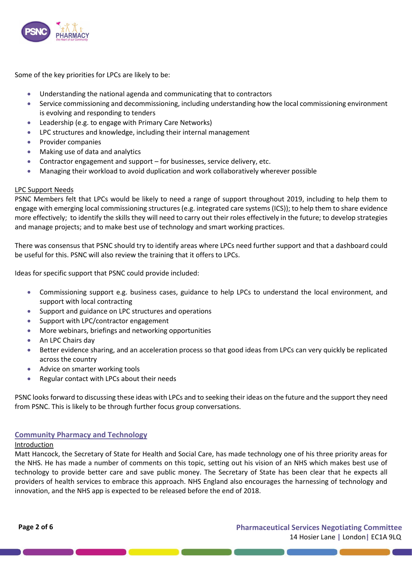

Some of the key priorities for LPCs are likely to be:

- Understanding the national agenda and communicating that to contractors
- Service commissioning and decommissioning, including understanding how the local commissioning environment is evolving and responding to tenders
- Leadership (e.g. to engage with Primary Care Networks)
- LPC structures and knowledge, including their internal management
- Provider companies
- Making use of data and analytics
- Contractor engagement and support for businesses, service delivery, etc.
- Managing their workload to avoid duplication and work collaboratively wherever possible

### LPC Support Needs

PSNC Members felt that LPCs would be likely to need a range of support throughout 2019, including to help them to engage with emerging local commissioning structures (e.g. integrated care systems (ICS)); to help them to share evidence more effectively; to identify the skills they will need to carry out their roles effectively in the future; to develop strategies and manage projects; and to make best use of technology and smart working practices.

There was consensus that PSNC should try to identify areas where LPCs need further support and that a dashboard could be useful for this. PSNC will also review the training that it offers to LPCs.

Ideas for specific support that PSNC could provide included:

- Commissioning support e.g. business cases, guidance to help LPCs to understand the local environment, and support with local contracting
- Support and guidance on LPC structures and operations
- Support with LPC/contractor engagement
- More webinars, briefings and networking opportunities
- An LPC Chairs day
- Better evidence sharing, and an acceleration process so that good ideas from LPCs can very quickly be replicated across the country
- Advice on smarter working tools
- Regular contact with LPCs about their needs

PSNC looks forward to discussing these ideas with LPCs and to seeking their ideas on the future and the support they need from PSNC. This is likely to be through further focus group conversations.

### **Community Pharmacy and Technology**

#### Introduction

Matt Hancock, the Secretary of State for Health and Social Care, has made technology one of his three priority areas for the NHS. He has made a number of comments on this topic, setting out his vision of an NHS which makes best use of technology to provide better care and save public money. The Secretary of State has been clear that he expects all providers of health services to embrace this approach. NHS England also encourages the harnessing of technology and innovation, and the NHS app is expected to be released before the end of 2018.

**Page 2 of 6 Pharmaceutical Services Negotiating Committee** 14 Hosier Lane **|** London**|** EC1A 9LQ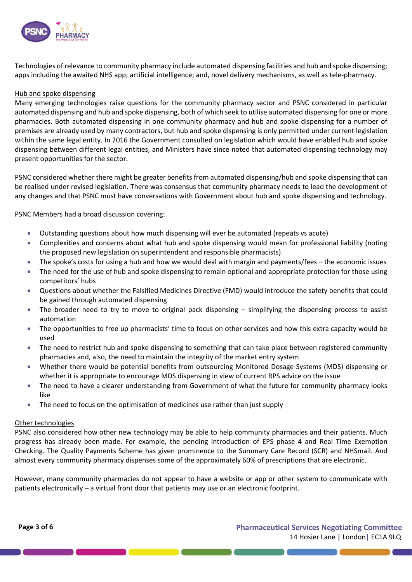

Technologies of relevance to community pharmacy include automated dispensing facilities and hub and spoke dispensing; apps including the awaited NHS app; artificial intelligence; and, novel delivery mechanisms, as well as tele-pharmacy.

### Hub and spoke dispensing

Many emerging technologies raise questions for the community pharmacy sector and PSNC considered in particular automated dispensing and hub and spoke dispensing, both of which seek to utilise automated dispensing for one or more pharmacies. Both automated dispensing in one community pharmacy and hub and spoke dispensing for a number of premises are already used by many contractors, but hub and spoke dispensing is only permitted under current legislation within the same legal entity. In 2016 the Government consulted on legislation which would have enabled hub and spoke dispensing between different legal entities, and Ministers have since noted that automated dispensing technology may present opportunities for the sector.

PSNC considered whether there might be greater benefits from automated dispensing/hub and spoke dispensing that can be realised under revised legislation. There was consensus that community pharmacy needs to lead the development of any changes and that PSNC must have conversations with Government about hub and spoke dispensing and technology.

PSNC Members had a broad discussion covering:

- Outstanding questions about how much dispensing will ever be automated (repeats vs acute)
- Complexities and concerns about what hub and spoke dispensing would mean for professional liability (noting the proposed new legislation on superintendent and responsible pharmacists)
- The spoke's costs for using a hub and how we would deal with margin and payments/fees the economic issues
- The need for the use of hub and spoke dispensing to remain optional and appropriate protection for those using competitors' hubs
- Questions about whether the Falsified Medicines Directive (FMD) would introduce the safety benefits that could be gained through automated dispensing
- The broader need to try to move to original pack dispensing simplifying the dispensing process to assist automation
- The opportunities to free up pharmacists' time to focus on other services and how this extra capacity would be used
- The need to restrict hub and spoke dispensing to something that can take place between registered community pharmacies and, also, the need to maintain the integrity of the market entry system
- Whether there would be potential benefits from outsourcing Monitored Dosage Systems (MDS) dispensing or whether it is appropriate to encourage MDS dispensing in view of current RPS advice on the issue
- The need to have a clearer understanding from Government of what the future for community pharmacy looks like
- The need to focus on the optimisation of medicines use rather than just supply

### Other technologies

PSNC also considered how other new technology may be able to help community pharmacies and their patients. Much progress has already been made. For example, the pending introduction of EPS phase 4 and Real Time Exemption Checking. The Quality Payments Scheme has given prominence to the Summary Care Record (SCR) and NHSmail. And almost every community pharmacy dispenses some of the approximately 60% of prescriptions that are electronic.

However, many community pharmacies do not appear to have a website or app or other system to communicate with patients electronically – a virtual front door that patients may use or an electronic footprint.

**Page 3 of 6 Pharmaceutical Services Negotiating Committee** 14 Hosier Lane **|** London**|** EC1A 9LQ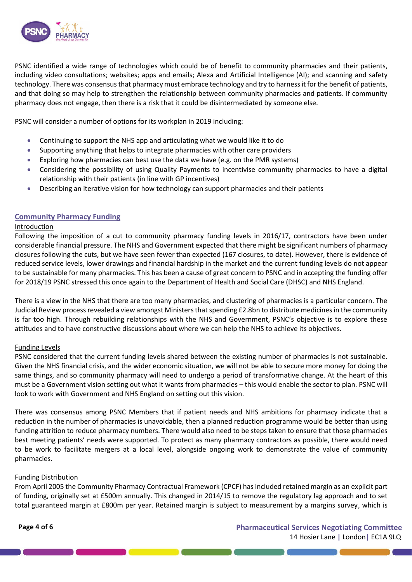

PSNC identified a wide range of technologies which could be of benefit to community pharmacies and their patients, including video consultations; websites; apps and emails; Alexa and Artificial Intelligence (AI); and scanning and safety technology. There was consensus that pharmacy must embrace technology and try to harness it for the benefit of patients, and that doing so may help to strengthen the relationship between community pharmacies and patients. If community pharmacy does not engage, then there is a risk that it could be disintermediated by someone else.

PSNC will consider a number of options for its workplan in 2019 including:

- Continuing to support the NHS app and articulating what we would like it to do
- Supporting anything that helps to integrate pharmacies with other care providers
- Exploring how pharmacies can best use the data we have (e.g. on the PMR systems)
- Considering the possibility of using Quality Payments to incentivise community pharmacies to have a digital relationship with their patients (in line with GP incentives)
- Describing an iterative vision for how technology can support pharmacies and their patients

# **Community Pharmacy Funding**

#### Introduction

Following the imposition of a cut to community pharmacy funding levels in 2016/17, contractors have been under considerable financial pressure. The NHS and Government expected that there might be significant numbers of pharmacy closures following the cuts, but we have seen fewer than expected (167 closures, to date). However, there is evidence of reduced service levels, lower drawings and financial hardship in the market and the current funding levels do not appear to be sustainable for many pharmacies. This has been a cause of great concern to PSNC and in accepting the funding offer for 2018/19 PSNC stressed this once again to the Department of Health and Social Care (DHSC) and NHS England.

There is a view in the NHS that there are too many pharmacies, and clustering of pharmacies is a particular concern. The Judicial Review process revealed a view amongst Ministers that spending £2.8bn to distribute medicines in the community is far too high. Through rebuilding relationships with the NHS and Government, PSNC's objective is to explore these attitudes and to have constructive discussions about where we can help the NHS to achieve its objectives.

### Funding Levels

PSNC considered that the current funding levels shared between the existing number of pharmacies is not sustainable. Given the NHS financial crisis, and the wider economic situation, we will not be able to secure more money for doing the same things, and so community pharmacy will need to undergo a period of transformative change. At the heart of this must be a Government vision setting out what it wants from pharmacies – this would enable the sector to plan. PSNC will look to work with Government and NHS England on setting out this vision.

There was consensus among PSNC Members that if patient needs and NHS ambitions for pharmacy indicate that a reduction in the number of pharmacies is unavoidable, then a planned reduction programme would be better than using funding attrition to reduce pharmacy numbers. There would also need to be steps taken to ensure that those pharmacies best meeting patients' needs were supported. To protect as many pharmacy contractors as possible, there would need to be work to facilitate mergers at a local level, alongside ongoing work to demonstrate the value of community pharmacies.

### Funding Distribution

From April 2005 the Community Pharmacy Contractual Framework (CPCF) has included retained margin as an explicit part of funding, originally set at £500m annually. This changed in 2014/15 to remove the regulatory lag approach and to set total guaranteed margin at £800m per year. Retained margin is subject to measurement by a margins survey, which is

<u> a seu de la companya de la companya de la companya de la companya de la companya de la companya de la companya </u>

**Page 4 of 6 Pharmaceutical Services Negotiating Committee** 14 Hosier Lane **|** London**|** EC1A 9LQ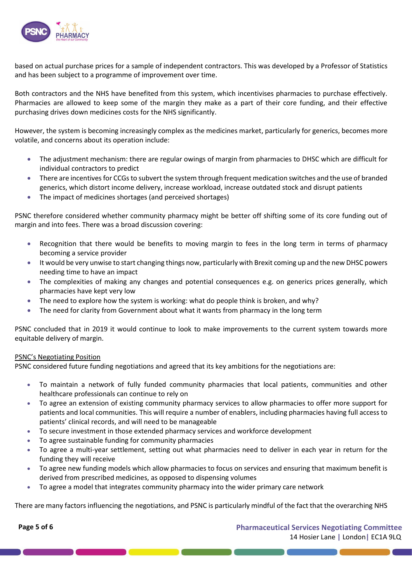

based on actual purchase prices for a sample of independent contractors. This was developed by a Professor of Statistics and has been subject to a programme of improvement over time.

Both contractors and the NHS have benefited from this system, which incentivises pharmacies to purchase effectively. Pharmacies are allowed to keep some of the margin they make as a part of their core funding, and their effective purchasing drives down medicines costs for the NHS significantly.

However, the system is becoming increasingly complex as the medicines market, particularly for generics, becomes more volatile, and concerns about its operation include:

- The adjustment mechanism: there are regular owings of margin from pharmacies to DHSC which are difficult for individual contractors to predict
- There are incentives for CCGs to subvert the system through frequent medication switches and the use of branded generics, which distort income delivery, increase workload, increase outdated stock and disrupt patients
- The impact of medicines shortages (and perceived shortages)

PSNC therefore considered whether community pharmacy might be better off shifting some of its core funding out of margin and into fees. There was a broad discussion covering:

- Recognition that there would be benefits to moving margin to fees in the long term in terms of pharmacy becoming a service provider
- It would be very unwise to start changing things now, particularly with Brexit coming up and the new DHSC powers needing time to have an impact
- The complexities of making any changes and potential consequences e.g. on generics prices generally, which pharmacies have kept very low
- The need to explore how the system is working: what do people think is broken, and why?
- The need for clarity from Government about what it wants from pharmacy in the long term

PSNC concluded that in 2019 it would continue to look to make improvements to the current system towards more equitable delivery of margin.

### PSNC's Negotiating Position

PSNC considered future funding negotiations and agreed that its key ambitions for the negotiations are:

- To maintain a network of fully funded community pharmacies that local patients, communities and other healthcare professionals can continue to rely on
- To agree an extension of existing community pharmacy services to allow pharmacies to offer more support for patients and local communities. This will require a number of enablers, including pharmacies having full access to patients' clinical records, and will need to be manageable
- To secure investment in those extended pharmacy services and workforce development
- To agree sustainable funding for community pharmacies
- To agree a multi-year settlement, setting out what pharmacies need to deliver in each year in return for the funding they will receive
- To agree new funding models which allow pharmacies to focus on services and ensuring that maximum benefit is derived from prescribed medicines, as opposed to dispensing volumes
- To agree a model that integrates community pharmacy into the wider primary care network

There are many factors influencing the negotiations, and PSNC is particularly mindful of the fact that the overarching NHS

**Page 5 of 6 Pharmaceutical Services Negotiating Committee** 14 Hosier Lane **|** London**|** EC1A 9LQ